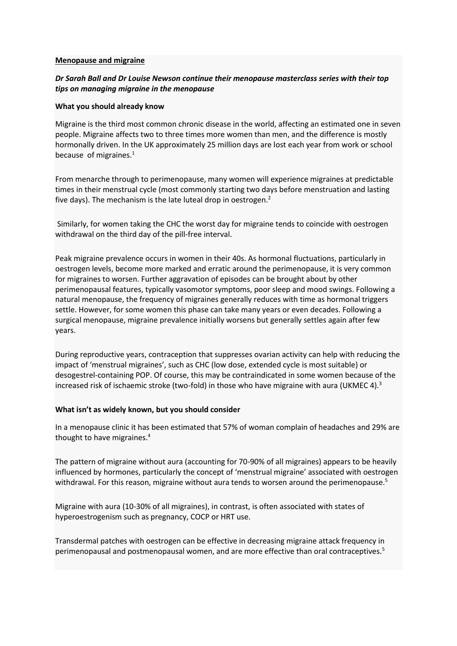#### **Menopause and migraine**

# *Dr Sarah Ball and Dr Louise Newson continue their menopause masterclass series with their top tips on managing migraine in the menopause*

#### **What you should already know**

Migraine is the third most common chronic disease in the world, affecting an estimated one in seven people. Migraine affects two to three times more women than men, and the difference is mostly hormonally driven. In the UK approximately 25 million days are lost each year from work or school because of migraines. $<sup>1</sup>$ </sup>

From menarche through to perimenopause, many women will experience migraines at predictable times in their menstrual cycle (most commonly starting two days before menstruation and lasting five days). The mechanism is the late luteal drop in oestrogen. $2$ 

Similarly, for women taking the CHC the worst day for migraine tends to coincide with oestrogen withdrawal on the third day of the pill-free interval.

Peak migraine prevalence occurs in women in their 40s. As hormonal fluctuations, particularly in oestrogen levels, become more marked and erratic around the perimenopause, it is very common for migraines to worsen. Further aggravation of episodes can be brought about by other perimenopausal features, typically vasomotor symptoms, poor sleep and mood swings. Following a natural menopause, the frequency of migraines generally reduces with time as hormonal triggers settle. However, for some women this phase can take many years or even decades. Following a surgical menopause, migraine prevalence initially worsens but generally settles again after few years.

During reproductive years, contraception that suppresses ovarian activity can help with reducing the impact of 'menstrual migraines', such as CHC (low dose, extended cycle is most suitable) or desogestrel-containing POP. Of course, this may be contraindicated in some women because of the increased risk of ischaemic stroke (two-fold) in those who have migraine with aura (UKMEC 4).<sup>3</sup>

### **What isn't as widely known, but you should consider**

In a menopause clinic it has been estimated that 57% of woman complain of headaches and 29% are thought to have migraines.<sup>4</sup>

The pattern of migraine without aura (accounting for 70-90% of all migraines) appears to be heavily influenced by hormones, particularly the concept of 'menstrual migraine' associated with oestrogen withdrawal. For this reason, migraine without aura tends to worsen around the perimenopause.<sup>5</sup>

Migraine with aura (10-30% of all migraines), in contrast, is often associated with states of hyperoestrogenism such as pregnancy, COCP or HRT use.

Transdermal patches with oestrogen can be effective in decreasing migraine attack frequency in perimenopausal and postmenopausal women, and are more effective than oral contraceptives.5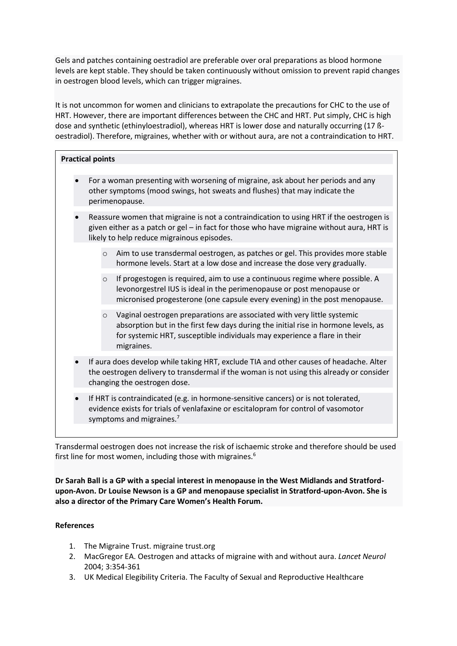Gels and patches containing oestradiol are preferable over oral preparations as blood hormone levels are kept stable. They should be taken continuously without omission to prevent rapid changes in oestrogen blood levels, which can trigger migraines.

It is not uncommon for women and clinicians to extrapolate the precautions for CHC to the use of HRT. However, there are important differences between the CHC and HRT. Put simply, CHC is high dose and synthetic (ethinyloestradiol), whereas HRT is lower dose and naturally occurring (17 ßoestradiol). Therefore, migraines, whether with or without aura, are not a contraindication to HRT.

| <b>Practical points</b>                                                                                                                                                                                                                                             |
|---------------------------------------------------------------------------------------------------------------------------------------------------------------------------------------------------------------------------------------------------------------------|
| For a woman presenting with worsening of migraine, ask about her periods and any<br>other symptoms (mood swings, hot sweats and flushes) that may indicate the<br>perimenopause.                                                                                    |
| Reassure women that migraine is not a contraindication to using HRT if the oestrogen is<br>given either as a patch or gel - in fact for those who have migraine without aura, HRT is<br>likely to help reduce migrainous episodes.                                  |
| Aim to use transdermal oestrogen, as patches or gel. This provides more stable<br>$\circ$<br>hormone levels. Start at a low dose and increase the dose very gradually.                                                                                              |
| If progestogen is required, aim to use a continuous regime where possible. A<br>$\circ$<br>levonorgestrel IUS is ideal in the perimenopause or post menopause or<br>micronised progesterone (one capsule every evening) in the post menopause.                      |
| Vaginal oestrogen preparations are associated with very little systemic<br>$\circ$<br>absorption but in the first few days during the initial rise in hormone levels, as<br>for systemic HRT, susceptible individuals may experience a flare in their<br>migraines. |
| If aura does develop while taking HRT, exclude TIA and other causes of headache. Alter<br>the oestrogen delivery to transdermal if the woman is not using this already or consider<br>changing the oestrogen dose.                                                  |
| If HRT is contraindicated (e.g. in hormone-sensitive cancers) or is not tolerated,<br>evidence exists for trials of venlafaxine or escitalopram for control of vasomotor<br>symptoms and migraines. <sup>7</sup>                                                    |
|                                                                                                                                                                                                                                                                     |

Transdermal oestrogen does not increase the risk of ischaemic stroke and therefore should be used first line for most women, including those with migraines.<sup>6</sup>

**Dr Sarah Ball is a GP with a special interest in menopause in the West Midlands and Stratfordupon-Avon. Dr Louise Newson is a GP and menopause specialist in Stratford-upon-Avon. She is also a director of the Primary Care Women's Health Forum.**

# **References**

- 1. The Migraine Trust. migraine trust.org
- 2. MacGregor EA. Oestrogen and attacks of migraine with and without aura. *Lancet Neurol* 2004; 3:354-361
- 3. UK Medical Elegibility Criteria. The Faculty of Sexual and Reproductive Healthcare